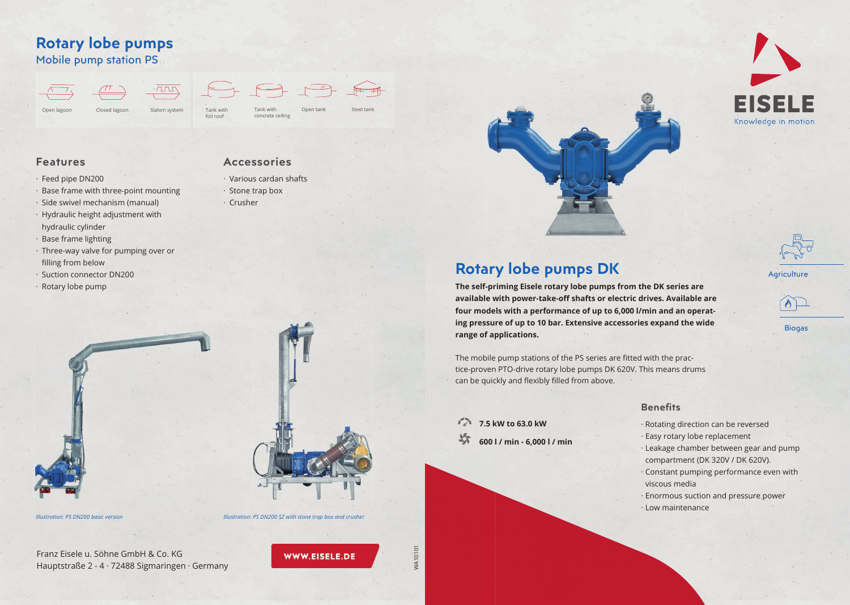Franz Eisele u. Söhne GmbH & Co. KG Hauptstraße 2 - 4 · 72488 Sigmaringen · Germany

WWW.EISELE.DE

- · Rotating direction can be reversed
- · Easy rotary lobe replacement
- · Leakage chamber between gear and pump compartment (DK 320V / DK 620V).
- · Constant pumping performance even with viscous media
- · Enormous suction and pressure power
- · Low maintenance

## **Rotary lobe pumps DK**

**7.5 kW to 63.0 kW** 坎 **600 l / min - 6,000 l / min**





**Biogas** 

**Agriculture** 

 $\bigwedge$ 

#### **Benefits**

**The self-priming Eisele rotary lobe pumps from the DK series are available with power-take-off shafts or electric drives. Available are four models with a performance of up to 6,000 l/min and an operating pressure of up to 10 bar. Extensive accessories expand the wide range of applications.**

The mobile pump stations of the PS series are fitted with the practice-proven PTO-drive rotary lobe pumps DK 620V. This means drums can be quickly and flexibly filled from above.

*Illustration: PS DN200 basic version Illustration: PS DN200 SZ with stone trap box and crusher*



- · Various cardan shafts
- · Stone trap box
- · Crusher



### **Features**

- · Feed pipe DN200
- · Base frame with three-point mounting
- · Side swivel mechanism (manual)
- · Hydraulic height adjustment with hydraulic cylinder
- · Base frame lighting
- · Three-way valve for pumping over or filling from below
- · Suction connector DN200
- · Rotary lobe pump

# **Rotary lobe pumps**

Mobile pump station PS

concrete ceiling





foil roof

WA10101

WA10101